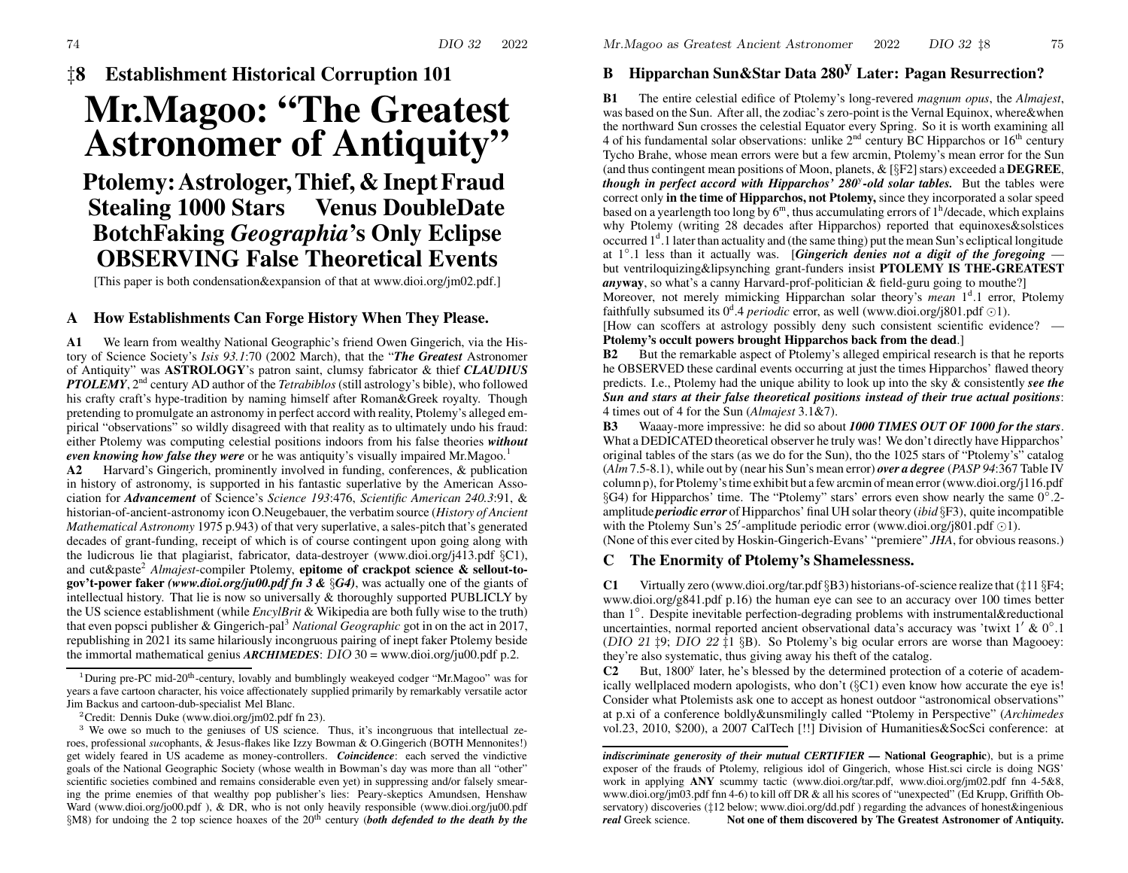‡ **8Establishment Historical Corruption 101**

# **Mr.Magoo: "The Greatest** Astronomer of Antiquity"

## **Ptolemy:Astrologer,Thief, & IneptFraud Stealing 1000 Stars Venus DoubleDate BotchFaking** *Geographia***'s Only Eclipse OBSERVINGFalse Theoretical Events**

[This paper is both condensation&expansion of that at www.dioi.org/jm02.pdf.]

### **A Ho w Establishments Can Forge History When They Please.**

**A1**We learn from wealthy National Geographic's friend Owen Gingerich, via the History of Science Society's *Isis 93.1*:70 (2002 March), that the "*The Greatest* Astronomer of Antiquity" was **ASTROLOGY**'s patron saint, clumsy fabricator & thief *CLAUDIUS PTOLEMY*, 2<sup>nd</sup> century AD author of the *Tetrabiblos* (still astrology's bible), who followed his crafty craft's hype-tradition by naming himself after Roman&Greek royalty. Though pretending to promulgate an astronomy in perfect accord with reality, Ptolemy's alleged empirical "observations" so wildly disagreed with that reality as to ultimately undo his fraud: either Ptolemy was computing celestial positions indoors from his false theories *without even knowing ho w false they were* or he was antiquity's visually impaired Mr.Magoo.<sup>1</sup>

**A2**2 Harvard's Gingerich, prominently involved in funding, conferences, & publication in history of astronomy, is supported in his fantastic superlative by the American Association for *Advancement* of Science's *Science 193*:476, *Scientific American 240.3*:91, &historian-of-ancient-astronomy icon O.Neugebauer, the verbatim source (*History of Ancient Mathematical Astronomy* 1975 p.943) of that very superlative, <sup>a</sup> sales-pitch that's generated decades of grant-funding, receipt of which is of course contingent upon going along with the ludicrous lie that plagiarist, fabricator, data-destroyer (www.dioi.org/j413.pdf §C1), and cut&paste<sup>2</sup> *Almajest*-compiler Ptolemy, **epitome of crackpot science & sellout-togov't-power faker** *(www.dioi.org/ju00.pdf fn 3 &* §*G4)*, was actually one of the giants of intellectual history. That lie is no w so universally & thoroughly supported PUBLICLY by the US science establishment (while *EncylBrit* & Wikipedia are both fully wise to the truth) that even popsci publisher & Gingerich-pal<sup>3</sup> *National Geographic* go<sup>t</sup> in on the act in 2017, republishing in 2021 its same hilariously incongruous pairing of inept faker Ptolemy beside the immortal mathematical genius *ARCHIMEDES*: DIO 30 = www.dioi.org/ju00.pdf p.2.

#### **BHipparchan Sun&Star Data 280 y Later: Pagan Resurrection?**

**B1** The entire celestial edifice of Ptolemy's long-revered *magnum opus*, the *Almajest*, was based on the Sun. After all, the zodiac's zero-point isthe Vernal Equinox, where&when the northward Sun crosses the celestial Equator every Spring. So it is worth examining all 4 of his fundamental solar observations: unlike  $2<sup>nd</sup>$  century BC Hipparchos or  $16<sup>th</sup>$  century Tycho Brahe, whose mean errors were but <sup>a</sup> fe w arcmin, Ptolemy's mean error for the Sun (and thus contingent mean positions of Moon, planets,  $\&$  [§F2] stars) exceeded a **DEGREE**, *though in perfect accord with Hipparchos' 280*<sup>y</sup>*-old solar tables.* But the tables were correct only **in the time of Hipparchos, not Ptolemy,** since they incorporated <sup>a</sup> solar speed based on a yearlength too long by  $6^{\text{m}}$ , thus accumulating errors of  $1^{\text{h}}$ /decade, which explains why Ptolemy (writing 28 decades after Hipparchos) reported that equinoxes&solstices occurred  $1<sup>d</sup>$ .1 later than actuality and (the same thing) put the mean Sun's ecliptical longitude at 1◦.1 less than it actually was. [*Gingeric h denies not <sup>a</sup> digit of the foregoing* but ventriloquizing&lipsynching grant-funders insist **PTOLEMY IS THE-GREATEST** *any***way**, so what's <sup>a</sup> canny Harvard-prof-politician & field-guru going to mouthe?] Moreover, not merely mimicking Hipparchan solar theory's *mean* <sup>1</sup><sup>d</sup>.1 error, Ptolemy faithfully subsumed its  $0^d$ .4 *periodic* error, as well (www.dioi.org/j801.pdf  $\odot$ 1).

#### [Ho w can scoffers at astrology possibly deny such consistent scientific evidence? — **Ptolemy's occult powers brought Hipparchos back from the dead**.]

**B2** But the remarkable aspec<sup>t</sup> of Ptolemy's alleged empirical research is that he reports he OBSERVED these cardinal events occurring at just the times Hipparchos' flawed theory predicts. I.e., Ptolemy had the unique ability to look up into the sky & consistently *see the Sun and stars at their false theoretical positions instead of their true actual positions*: 4 times out of 4 for the Sun (*Almajest* 3.1&7).

**B3**Waaay-more impressive: he did so about *1000 TIMES OUT OF 1000 for the stars*. What a DEDICATED theoretical observer he truly was! We don't directly have Hipparchos' original tables of the stars (as we do for the Sun), tho the 1025 stars of "Ptolemy's" catalog (*Alm* 7.5-8.1), while out by (near his Sun's mean error) *over <sup>a</sup> degree* (*PASP 94*:367 Table IV column p), for Ptolemy'stime exhibit but <sup>a</sup> fe w arcmin ofmean error(www.dioi.org/j116.pdf §G4) for Hipparchos' time. The "Ptolemy" stars' errors even show nearly the same 0°.2amplitude *periodic error* of Hipparchos' final UH solartheory (*ibid* §F3), quite incompatible with the Ptolemy Sun's 25'-amplitude periodic error (www.dioi.org/j801.pdf  $\odot$ 1). (None of this ever cited by Hoskin-Gingerich-Evans' "premiere" *JHA*, for obvious reasons.)

### **C The Enormity of Ptolemy's Shamelessness.**

**C1**Virtually zero (www.dioi.org/tar.pdf §B3) historians-of-science realize that(‡11 §F4; www.dioi.org/g841.pdf p.16) the human eye can see to an accuracy over 100 times better than  $1°$ . Despite inevitable perfection-degrading problems with instrumental&reductional uncertainties, normal reported ancient observational data's accuracy was 'twixt  $1' \& 0°.1$ (DIO 21 ‡9; DIO 22 ‡1 §B). So Ptolemy's big ocular errors are worse than Magooey: they're also systematic, thus giving away his theft of the catalog.

**C2**But,  $1800^{\circ}$  later, he's blessed by the determined protection of a coterie of academically wellplaced modern apologists, who don't (§C1) even kno w ho w accurate the eye is! Consider what Ptolemists ask one to accep<sup>t</sup> as honest outdoor "astronomical observations" at p.xi of <sup>a</sup> conference boldly&unsmilingly called "Ptolemy in Perspective" (*Archimedes* vol.23, 2010, \$200), <sup>a</sup> 2007 CalTech [!!] Division of Humanities&SocSci conference: at

<sup>&</sup>lt;sup>1</sup>During pre-PC mid-20<sup>th</sup>-century, lovably and bumblingly weakeyed codger "Mr.Magoo" was for years <sup>a</sup> fave cartoon character, his voice affectionately supplied primarily by remarkably versatile actor Jim Backus and cartoon-dub-specialist Mel Blanc.

 $2^2$ Credit: Dennis Duke (www.dioi.org/jm02.pdf fn 23).

<sup>&</sup>lt;sup>3</sup> We owe so much to the geniuses of US science. Thus, it's incongruous that intellectual zeroes, professional *suc*ophants, & Jesus-flakes like Izzy Bowman & O.Gingerich (BOTH Mennonites!) ge<sup>t</sup> widely feared in US academe as money-controllers. *Coincidence*: each served the vindictive goals of the National Geographic Society (whose wealth in Bowman's day was more than all "other" scientific societies combined and remains considerable even yet) in suppressing and/or falsely smearing the prime enemies of that wealthy pop publisher's lies: Peary-skeptics Amundsen, Henshaw Ward (www.dioi.org/jo00.pdf ), & DR, who is not only heavily responsible (www.dioi.org/ju00.pdf §M8) for undoing the <sup>2</sup> top science hoaxes of the <sup>20</sup>th century (*both defended to the death by the*

*indiscriminate generosity of their mutual CERTIFIER —* **National Geographic**), but is <sup>a</sup> prime exposer of the frauds of Ptolemy, religious idol of Gingerich, whose Hist.sci circle is doing NGS' work in applying **ANY** scummy tactic (www.dioi.org/tar.pdf, www.dioi.org/jm02.pdf fnn 4-5&8, www.dioi.org/jm03.pdf fnn 4-6) to kill off DR & all his scores of "unexpected" (Ed Krupp, Griffith Observatory) discoveries (‡12 below; www.dioi.org/dd.pdf ) regarding the advances of honest&ingenious *real* Greekscience. **Not one of them discovered by The Greatest Astronomer of Antiquity.**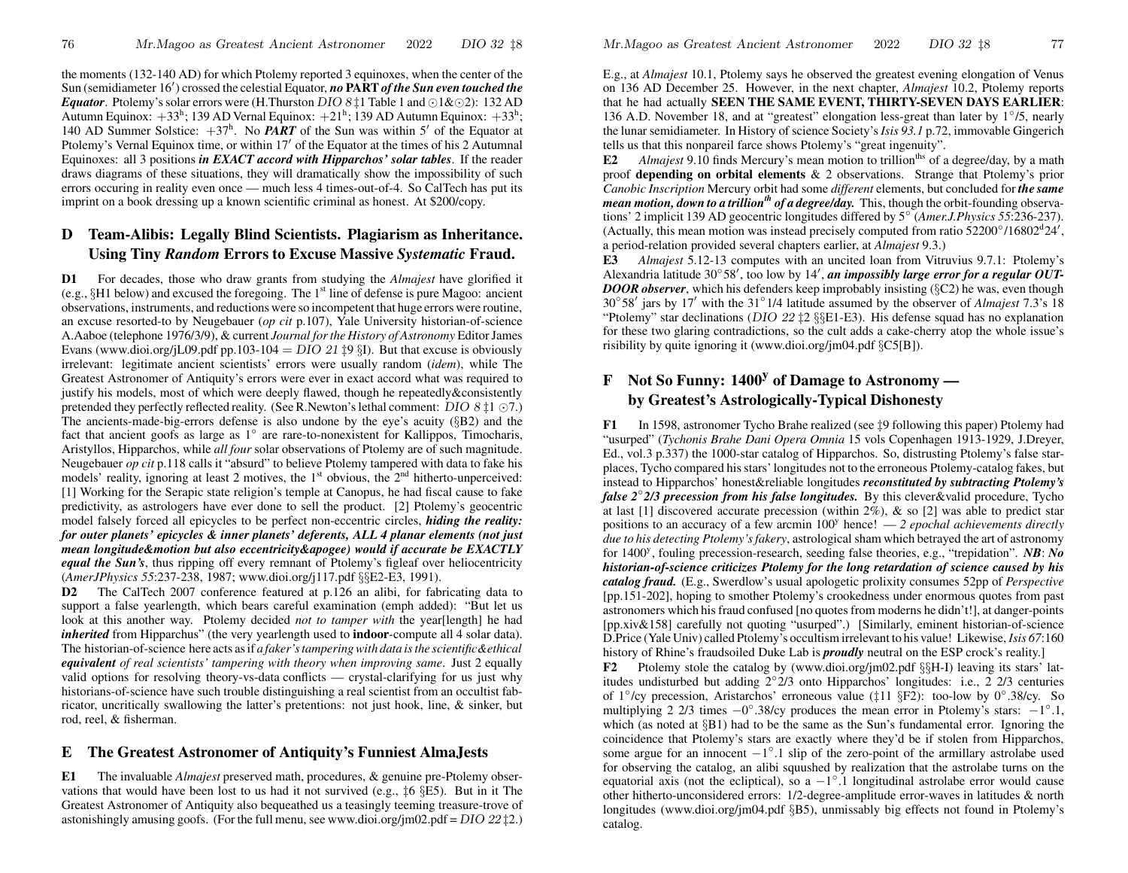the moments (132-140 AD) for which Ptolemy reported 3 equinoxes, when the center of the Sun (semidiameter 16') crossed the celestial Equator, no PART of the Sun even touched the *Equator*. Ptolemy's solar errors were (H.Thurston *DIO*  $8\ddagger1$  Table 1 and  $\odot1\&\odot2$ ): 132 AD Autumn Equinox:  $+33^{\text{h}}$ ; 139 AD Vernal Equinox:  $+21^{\text{h}}$ ; 139 AD Autumn Equinox:  $+33^{\text{h}}$ ; 140 AD Summer Solstice:  $+37<sup>h</sup>$ . No **PART** of the Sun was within 5<sup>'</sup> of the Equator at Ptolemy's Vernal Equinox time, or within  $17'$  of the Equator at the times of his 2 Autumnal Equinoxes: all 3 positions *in EXACT accord with Hipparchos' solar tables*. If the reader draws diagrams of these situations, they will dramatically sho w the impossibility of such errors occuring in reality even once — much less 4 times-out-of-4. So CalTech has pu<sup>t</sup> its imprint on <sup>a</sup> book dressing up <sup>a</sup> known scientific criminal as honest. At \$200/copy.

### **DTeam-Alibis: Legally Blind Scientists. Plagiarism as Inheritance. Using Tiny** *Random* **Errors to Excuse Massi ve** *Systematic* **Fraud.**

**D1** For decades, those who dra w grants from studying the *Almajest* have glorified it (e.g.,  $\S H1$  below) and excused the foregoing. The  $1<sup>st</sup>$  line of defense is pure Magoo: ancient observations, instruments, and reductions were so incompetent that huge errors were routine, an excuse resorted-to by Neugebauer (*op cit* p.107), Yale University historian-of-science A.Aaboe (telephone 1976/3/9), & current *Journal forthe History of Astronomy* EditorJames Evans (www.dioi.org/jL09.pdf pp.103-104 =  $DIO$  21 ‡9 §I). But that excuse is obviously irrelevant: legitimate ancient scientists' errors were usually random (*idem*), while The Greatest Astronomer of Antiquity's errors were ever in exact accord what was required to justify his models, most of which were deeply flawed, though he repeatedly&consistently pretended they perfectly reflected reality. (See R.Newton's lethal comment:  $DIO \& 11 \odot 7$ .) The ancients-made-big-errors defense is also undone by the eye's acuity (§B2) and the fact that ancient goofs as large as 1<sup>°</sup> are rare-to-nonexistent for Kallippos, Timocharis, Aristyllos, Hipparchos, while *all four* solar observations of Ptolemy are of such magnitude. Neugebauer *op cit* p.118 calls it "absurd" to believe Ptolemy tampered with data to fake his models' reality, ignoring at least 2 motives, the  $1<sup>st</sup>$  obvious, the  $2<sup>nd</sup>$  hitherto-unperceived: [1] Working for the Serapic state religion's temple at Canopus, he had fiscal cause to fake predictivity, as astrologers have ever done to sell the product. [2] Ptolemy's geocentric model falsely forced all epicycles to be perfect non-eccentric circles, *hiding the reality: for outer planets' epicycles & inner planets' deferents, ALL 4 planar elements (not just mean longitude&motion but also eccentricity&apogee) would if accurate be EXACTL Yequal the Sun's*, thus ripping off every remnant of Ptolemy's figleaf over heliocentricity (*AmerJPhysics 55*:237-238, 1987; www.dioi.org/j117.pdf §§E2-E3, 1991).

**D2** The CalTech 2007 conference featured at p.126 an alibi, for fabricating data to suppor<sup>t</sup> <sup>a</sup> false yearlength, which bears careful examination (emph added): "But let us look at this another way. Ptolemy decided *not to tamper with* the year[length] he had *inherited* from Hipparchus" (the very yearlength used to **indoor**-compute all 4 solar data). The historian-of-science here acts asif *<sup>a</sup> faker'stamperingwith data isthe scientific&ethical equivalent of real scientists' tampering with theory when improving same*. Just 2 equally valid options for resolving theory-vs-data conflicts — crystal-clarifying for us just why historians-of-science have such trouble distinguishing <sup>a</sup> real scientist from an occultist fabricator, uncritically swallowing the latter's pretentions: not just hook, line, & sinker, but rod, reel, & fisherman.

#### **E The Greatest Astronomer of Antiquity's Funniest AlmaJests**

**E1** The invaluable *Almajest* preserved math, procedures, & genuine pre-Ptolemy observations that would have been lost to us had it not survived (e.g., ‡6 §E5). But in it The Greatest Astronomer of Antiquity also bequeathed us <sup>a</sup> teasingly teeming treasure-trove of astonishingly amusing goofs. (For the full menu, see www.dioi.org/jm02.pdf =  $DIO$  22 $\ddagger$ 2.)

E.g., at *Almajest* 10.1, Ptolemy says he observed the greatest evening elongation of Venus on 136 AD December 25. However, in the next chapter, *Almajest* 10.2, Ptolemy reports that he had actually **SEEN THE SAME EVENT, THIRTY-SEVEN D AYS EARLIER**: 136 A.D. November 18, and at "greatest" elongation less-great than later by  $1°/5$ , nearly the lunar semidiameter. In History of science Society's*Isis 93.1* p.72, immovable Gingerich tells us that this nonpareil farce shows Ptolemy's "great ingenuity".

**E2***Almajest* 9.10 finds Mercury's mean motion to trillion<sup>ths</sup> of a degree/day, by a math proof **depending on orbital elements** & 2 observations. Strange that Ptolemy's prior *Canobic Inscription* Mercury orbit had some *different* elements, but concluded for *the same mean motion, down to <sup>a</sup> trillionth of <sup>a</sup> degree/day.* This, though the orbit-founding observations' 2 implicit 139 AD geocentric longitudes differed by 5◦ (*Amer.J.Physics <sup>55</sup>*:236-237). (Actually, this mean motion was instead precisely computed from ratio  $52200°/16802<sup>d</sup>24'$ , a period-relation provided several chapters earlier, at *Almajest* 9.3.)

**E3** *Almajest* 5.12-13 computes with an uncited loan from Vitruvius 9.7.1: Ptolemy's Alexandria latitude 30°58', too low by 14', *an impossibly large error for a regular OUT*-*DOOR observer*, which his defenders keep improbably insisting (§C2) he was, even though 30<sup>°</sup>58' jars by 17' with the 31<sup>°</sup>1/4 latitude assumed by the observer of *Almajest* 7.3's 18 "Ptolemy" star declinations (DIO 22 ‡2 §§E1-E3). His defense squad has no explanation for these two glaring contradictions, so the cult adds <sup>a</sup> cake-cherry atop the whole issue's risibility by quite ignoring it (www.dioi.org/jm04.pdf §C5[B]).

### **F Not So Funny: 1400<sup>y</sup> of Damage to Astronomy by Greatest's Astrologically-Typical Dishonesty**

**F1** In 1598, astronomer Tycho Brahe realized (see  $\sharp$ 9 following this paper) Ptolemy had "usurped" (*Tychonis Brahe Dani Opera Omnia* 15 vols Copenhagen 1913-1929, J.Dreyer, Ed., vol.3 p.337) the 1000-star catalog of Hipparchos. So, distrusting Ptolemy's false starplaces, Tycho compared hisstars'longitudes not to the erroneous Ptolemy-catalog fakes, but instead to Hipparchos' honest&reliable longitudes *reconstituted by subtracting Ptolemy's false 2*◦*2/3 precession from his false longitudes.* By this clever&valid procedure, Tycho at last [1] discovered accurate precession (within 2%), & so [2] was able to predict star positions to an accuracy of a few arcmin 100<sup>y</sup> hence! — 2 *epochal achievements directly due to his detecting Ptolemy'sfakery*, astrological sham which betrayed the art of astronomy for 1400<sup>y</sup>, fouling precession-research, seeding false theories, e.g., "trepidation". *NB*: *No historian-of-science criticizes Ptolemy for the long retardation of science caused by his catalog fraud.* (E.g., Swerdlow's usual apologetic prolixity consumes 52pp of *Perspective* [pp.151-202], hoping to smother Ptolemy's crookedness under enormous quotes from pas<sup>t</sup> astronomers which his fraud confused [no quotes from moderns he didn't!], at danger-points [pp.xiv&158] carefully not quoting "usurped".) [Similarly, eminent historian-of-science D.Price (Yale Univ) called Ptolemy's occultism irrelevant to his value! Likewise, *Isis 67*:160 history of Rhine's fraudsoiled Duke Lab is *proudly* neutral on the ESP crock's reality.]

**F2** Ptolemy stole the catalog by (www.dioi.org/jm02.pdf §§H-I) leaving its stars' latitudes undisturbed but adding 2◦2/3 onto Hipparchos' longitudes: i.e., 2 2/3 centuries of 1◦/cy precession, Aristarchos' erroneous value (‡11 §F2): too-lo w by 0◦.38/cy. So multiplying 2 2/3 times  $-0^\circ.38/\text{cy}$  produces the mean error in Ptolemy's stars:  $-1^\circ.1$ , which (as noted at §B1) had to be the same as the Sun's fundamental error. Ignoring the coincidence that Ptolemy's stars are exactly where they'd be if stolen from Hipparchos, some argue for an innocent  $-1^\circ.1$  slip of the zero-point of the armillary astrolabe used for observing the catalog, an alibi squushed by realization that the astrolabe turns on the equatorial axis (not the ecliptical), so a  $-1°$ . I longitudinal astrolabe error would cause other hitherto-unconsidered errors: 1/2-degree-amplitude error-waves in latitudes & north longitudes (www.dioi.org/jm04.pdf §B5), unmissably big effects not found in Ptolemy's catalog.